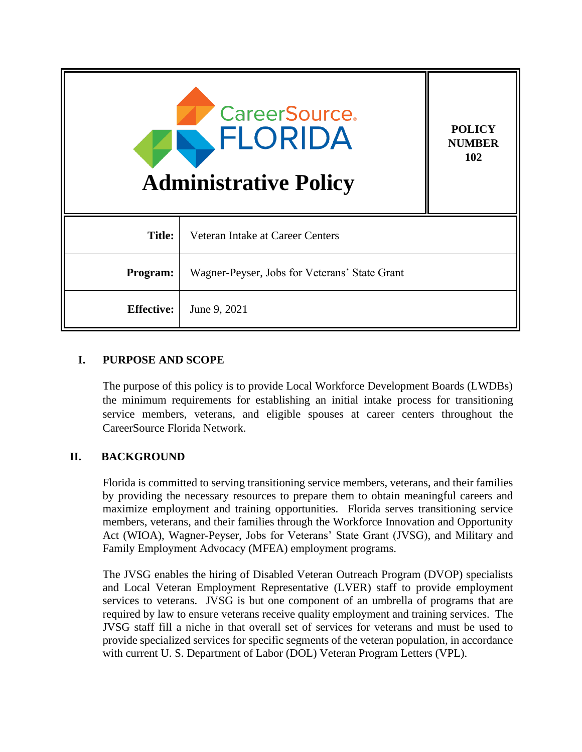| <b>CareerSource.</b><br>FLORIDA<br><b>Administrative Policy</b> |                                               | <b>POLICY</b><br><b>NUMBER</b><br>102 |
|-----------------------------------------------------------------|-----------------------------------------------|---------------------------------------|
| <b>Title:</b>                                                   | Veteran Intake at Career Centers              |                                       |
| Program:                                                        | Wagner-Peyser, Jobs for Veterans' State Grant |                                       |
| <b>Effective:</b>                                               | June 9, 2021                                  |                                       |

#### **I. PURPOSE AND SCOPE**

The purpose of this policy is to provide Local Workforce Development Boards (LWDBs) the minimum requirements for establishing an initial intake process for transitioning service members, veterans, and eligible spouses at career centers throughout the CareerSource Florida Network.

## **II. BACKGROUND**

Florida is committed to serving transitioning service members, veterans, and their families by providing the necessary resources to prepare them to obtain meaningful careers and maximize employment and training opportunities. Florida serves transitioning service members, veterans, and their families through the Workforce Innovation and Opportunity Act (WIOA), Wagner-Peyser, Jobs for Veterans' State Grant (JVSG), and Military and Family Employment Advocacy (MFEA) employment programs.

The JVSG enables the hiring of Disabled Veteran Outreach Program (DVOP) specialists and Local Veteran Employment Representative (LVER) staff to provide employment services to veterans. JVSG is but one component of an umbrella of programs that are required by law to ensure veterans receive quality employment and training services. The JVSG staff fill a niche in that overall set of services for veterans and must be used to provide specialized services for specific segments of the veteran population, in accordance with current U. S. Department of Labor (DOL) Veteran Program Letters (VPL).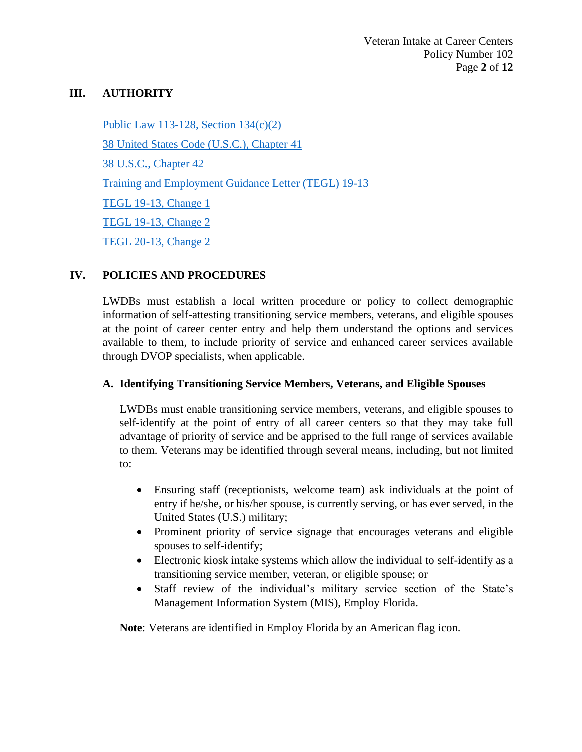#### **III. AUTHORITY**

[Public Law 113-128, Section 134\(c\)\(2\)](https://www.govinfo.gov/content/pkg/PLAW-113publ128/pdf/PLAW-113publ128.pdf) [38 United States Code \(U.S.C.\), Chapter 41](https://uscode.house.gov/view.xhtml?path=/prelim@title38/part3/chapter41&edition=prelim) [38 U.S.C., Chapter 42](https://uscode.house.gov/view.xhtml?path=/prelim@title38/part3/chapter42&edition=prelim) [Training and Employment Guidance](https://wdr.doleta.gov/directives/attach/TEGL/TEGL_19_13.pdf) Letter (TEGL) 19-13 [TEGL 19-13, Change 1](https://wdr.doleta.gov/directives/corr_doc.cfm?DOCN=9393) [TEGL 19-13, Change 2](https://wdr.doleta.gov/directives/corr_doc.cfm?DOCN=3305) [TEGL 20-13, Change 2](https://wdr.doleta.gov/directives/corr_doc.cfm?DOCN=9142)

#### **IV. POLICIES AND PROCEDURES**

LWDBs must establish a local written procedure or policy to collect demographic information of self-attesting transitioning service members, veterans, and eligible spouses at the point of career center entry and help them understand the options and services available to them, to include priority of service and enhanced career services available through DVOP specialists, when applicable.

#### **A. Identifying Transitioning Service Members, Veterans, and Eligible Spouses**

LWDBs must enable transitioning service members, veterans, and eligible spouses to self-identify at the point of entry of all career centers so that they may take full advantage of priority of service and be apprised to the full range of services available to them. Veterans may be identified through several means, including, but not limited to:

- Ensuring staff (receptionists, welcome team) ask individuals at the point of entry if he/she, or his/her spouse, is currently serving, or has ever served, in the United States (U.S.) military;
- Prominent priority of service signage that encourages veterans and eligible spouses to self-identify;
- Electronic kiosk intake systems which allow the individual to self-identify as a transitioning service member, veteran, or eligible spouse; or
- Staff review of the individual's military service section of the State's Management Information System (MIS), Employ Florida.

**Note**: Veterans are identified in Employ Florida by an American flag icon.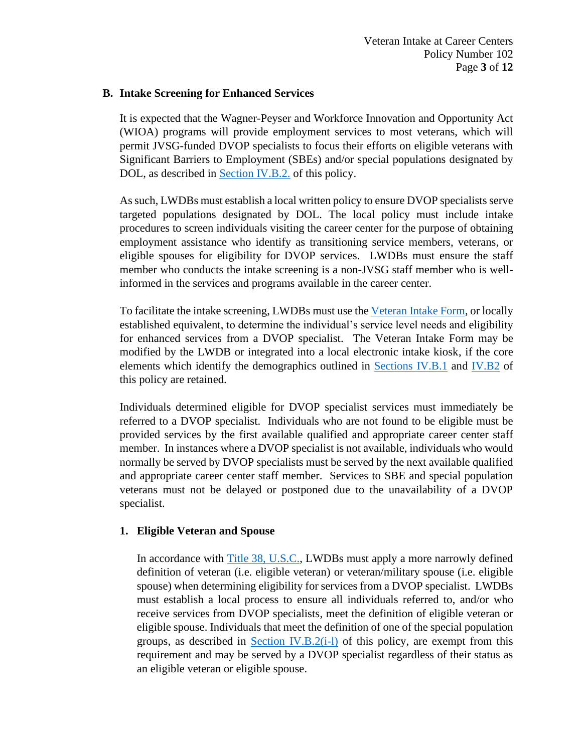#### **B. Intake Screening for Enhanced Services**

It is expected that the Wagner-Peyser and Workforce Innovation and Opportunity Act (WIOA) programs will provide employment services to most veterans, which will permit JVSG-funded DVOP specialists to focus their efforts on eligible veterans with Significant Barriers to Employment (SBEs) and/or special populations designated by DOL, as described in [Section IV.B.2.](#page-3-0) of this policy.

As such, LWDBs must establish a local written policy to ensure DVOP specialists serve targeted populations designated by DOL. The local policy must include intake procedures to screen individuals visiting the career center for the purpose of obtaining employment assistance who identify as transitioning service members, veterans, or eligible spouses for eligibility for DVOP services. LWDBs must ensure the staff member who conducts the intake screening is a non-JVSG staff member who is wellinformed in the services and programs available in the career center.

To facilitate the intake screening, LWDBs must use th[e Veteran Intake Form,](http://floridajobs.org/docs/default-source/lwdb-resources/programs-and-resources/vets/veteran-intake-form_2021.pdf?sfvrsn=efbe4eb0_2) or locally established equivalent, to determine the individual's service level needs and eligibility for enhanced services from a DVOP specialist. The Veteran Intake Form may be modified by the LWDB or integrated into a local electronic intake kiosk, if the core elements which identify the demographics outlined in [Sections IV.B.1](#page-2-0) and [IV.B2](#page-3-0) of this policy are retained.

Individuals determined eligible for DVOP specialist services must immediately be referred to a DVOP specialist. Individuals who are not found to be eligible must be provided services by the first available qualified and appropriate career center staff member. In instances where a DVOP specialist is not available, individuals who would normally be served by DVOP specialists must be served by the next available qualified and appropriate career center staff member. Services to SBE and special population veterans must not be delayed or postponed due to the unavailability of a DVOP specialist.

## <span id="page-2-0"></span>**1. Eligible Veteran and Spouse**

In accordance with [Title 38, U.S.C.,](https://www.govinfo.gov/content/pkg/CPRT-112HPRT65875/pdf/CPRT-112HPRT65875.pdf) LWDBs must apply a more narrowly defined definition of veteran (i.e. eligible veteran) or veteran/military spouse (i.e. eligible spouse) when determining eligibility for services from a DVOP specialist. LWDBs must establish a local process to ensure all individuals referred to, and/or who receive services from DVOP specialists, meet the definition of eligible veteran or eligible spouse. Individuals that meet the definition of one of the special population groups, as described in Section IV.B.2( $i$ -l) of this policy, are exempt from this requirement and may be served by a DVOP specialist regardless of their status as an eligible veteran or eligible spouse.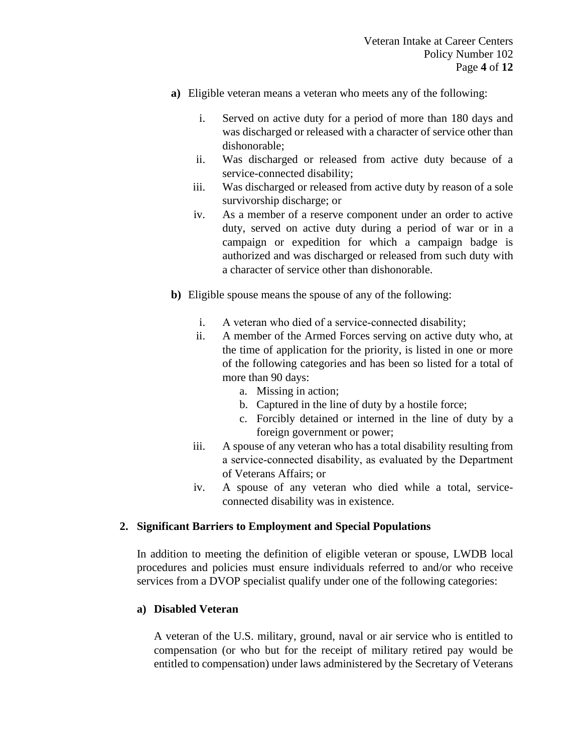- **a)** Eligible veteran means a veteran who meets any of the following:
	- i. Served on active duty for a period of more than 180 days and was discharged or released with a character of service other than dishonorable;
	- ii. Was discharged or released from active duty because of a service-connected disability;
	- iii. Was discharged or released from active duty by reason of a sole survivorship discharge; or
	- iv. As a member of a reserve component under an order to active duty, served on active duty during a period of war or in a campaign or expedition for which a campaign badge is authorized and was discharged or released from such duty with a character of service other than dishonorable.
- **b)** Eligible spouse means the spouse of any of the following:
	- i. A veteran who died of a service-connected disability;
	- ii. A member of the Armed Forces serving on active duty who, at the time of application for the priority, is listed in one or more of the following categories and has been so listed for a total of more than 90 days:
		- a. Missing in action;
		- b. Captured in the line of duty by a hostile force;
		- c. Forcibly detained or interned in the line of duty by a foreign government or power;
	- iii. A spouse of any veteran who has a total disability resulting from a service‐connected disability, as evaluated by the Department of Veterans Affairs; or
	- iv. A spouse of any veteran who died while a total, serviceconnected disability was in existence.

#### <span id="page-3-0"></span>**2. Significant Barriers to Employment and Special Populations**

In addition to meeting the definition of eligible veteran or spouse, LWDB local procedures and policies must ensure individuals referred to and/or who receive services from a DVOP specialist qualify under one of the following categories:

#### **a) Disabled Veteran**

A veteran of the U.S. military, ground, naval or air service who is entitled to compensation (or who but for the receipt of military retired pay would be entitled to compensation) under laws administered by the Secretary of Veterans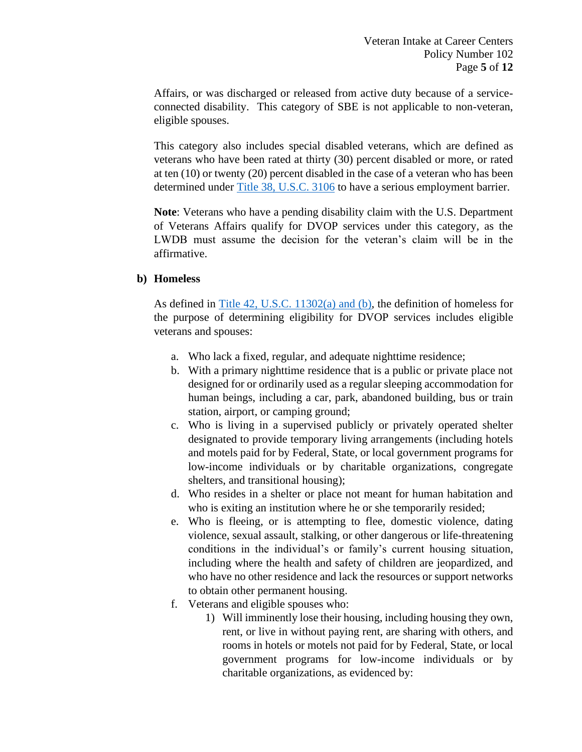Affairs, or was discharged or released from active duty because of a serviceconnected disability. This category of SBE is not applicable to non-veteran, eligible spouses.

This category also includes special disabled veterans, which are defined as veterans who have been rated at thirty (30) percent disabled or more, or rated at ten (10) or twenty (20) percent disabled in the case of a veteran who has been determined under [Title 38, U.S.C.](https://www.ecfr.gov/cgi-bin/text-idx?node=sg38.2.21_148.sg6&rgn=div7) 3106 to have a serious employment barrier.

**Note**: Veterans who have a pending disability claim with the U.S. Department of Veterans Affairs qualify for DVOP services under this category, as the LWDB must assume the decision for the veteran's claim will be in the affirmative.

#### **b) Homeless**

As defined in Title 42, [U.S.C. 11302\(a\) and \(b\),](https://uscode.house.gov/view.xhtml?path=/prelim@title42/chapter119&edition=prelim) the definition of homeless for the purpose of determining eligibility for DVOP services includes eligible veterans and spouses:

- a. Who lack a fixed, regular, and adequate nighttime residence;
- b. With a primary nighttime residence that is a public or private place not designed for or ordinarily used as a regular sleeping accommodation for human beings, including a car, park, abandoned building, bus or train station, airport, or camping ground;
- c. Who is living in a supervised publicly or privately operated shelter designated to provide temporary living arrangements (including hotels and motels paid for by Federal, State, or local government programs for low-income individuals or by charitable organizations, congregate shelters, and transitional housing);
- d. Who resides in a shelter or place not meant for human habitation and who is exiting an institution where he or she temporarily resided;
- e. Who is fleeing, or is attempting to flee, domestic violence, dating violence, sexual assault, stalking, or other dangerous or life-threatening conditions in the individual's or family's current housing situation, including where the health and safety of children are jeopardized, and who have no other residence and lack the resources or support networks to obtain other permanent housing.
- f. Veterans and eligible spouses who:
	- 1) Will imminently lose their housing, including housing they own, rent, or live in without paying rent, are sharing with others, and rooms in hotels or motels not paid for by Federal, State, or local government programs for low-income individuals or by charitable organizations, as evidenced by: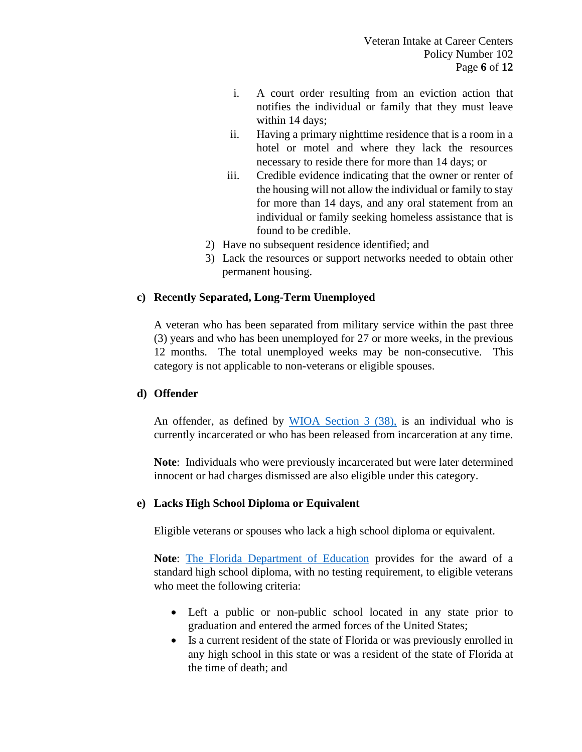- i. A court order resulting from an eviction action that notifies the individual or family that they must leave within 14 days;
- ii. Having a primary nighttime residence that is a room in a hotel or motel and where they lack the resources necessary to reside there for more than 14 days; or
- iii. Credible evidence indicating that the owner or renter of the housing will not allow the individual or family to stay for more than 14 days, and any oral statement from an individual or family seeking homeless assistance that is found to be credible.
- 2) Have no subsequent residence identified; and
- 3) Lack the resources or support networks needed to obtain other permanent housing.

## **c) Recently Separated, Long-Term Unemployed**

A veteran who has been separated from military service within the past three (3) years and who has been unemployed for 27 or more weeks, in the previous 12 months. The total unemployed weeks may be non-consecutive. This category is not applicable to non-veterans or eligible spouses.

## **d) Offender**

An offender, as defined by [WIOA Section 3 \(38\),](https://www.congress.gov/113/bills/hr803/BILLS-113hr803enr.pdf) is an individual who is currently incarcerated or who has been released from incarceration at any time.

**Note**: Individuals who were previously incarcerated but were later determined innocent or had charges dismissed are also eligible under this category.

# **e) Lacks High School Diploma or Equivalent**

Eligible veterans or spouses who lack a high school diploma or equivalent.

**Note**: [The Florida Department of Education](http://www.fldoe.org/academics/career-adult-edu/veterans-diplomas.stml) provides for the award of a standard high school diploma, with no testing requirement, to eligible veterans who meet the following criteria:

- Left a public or non-public school located in any state prior to graduation and entered the armed forces of the United States;
- Is a current resident of the state of Florida or was previously enrolled in any high school in this state or was a resident of the state of Florida at the time of death; and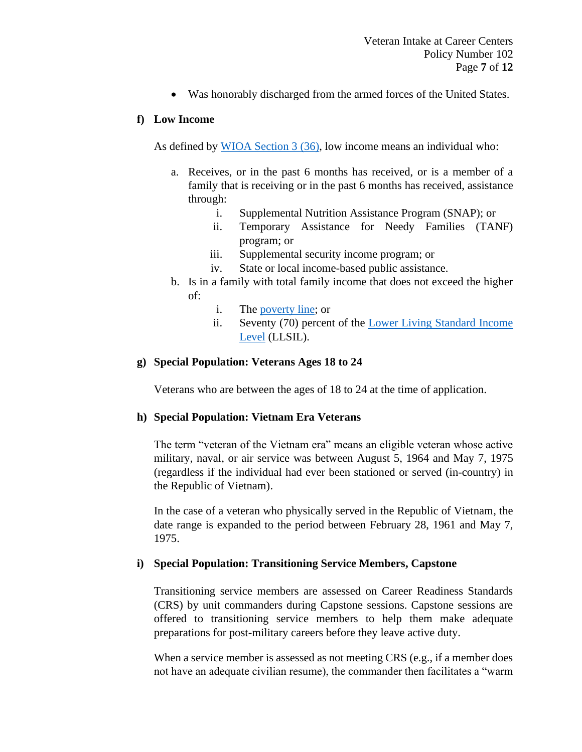• Was honorably discharged from the armed forces of the United States.

#### **f) Low Income**

As defined by [WIOA Section 3](https://www.congress.gov/113/bills/hr803/BILLS-113hr803enr.pdf) (36), low income means an individual who:

- a. Receives, or in the past 6 months has received, or is a member of a family that is receiving or in the past 6 months has received, assistance through:
	- i. Supplemental Nutrition Assistance Program (SNAP); or
	- ii. Temporary Assistance for Needy Families (TANF) program; or
	- iii. Supplemental security income program; or
	- iv. State or local income-based public assistance.
- b. Is in a family with total family income that does not exceed the higher of:
	- i. The [poverty line;](https://aspe.hhs.gov/poverty-guidelines) or
	- ii. Seventy (70) percent of the [Lower Living Standard Income](https://www.dol.gov/agencies/eta/llsil)  [Level](https://www.dol.gov/agencies/eta/llsil) (LLSIL).

## **g) Special Population: Veterans Ages 18 to 24**

Veterans who are between the ages of 18 to 24 at the time of application.

## **h) Special Population: Vietnam Era Veterans**

The term "veteran of the Vietnam era" means an eligible veteran whose active military, naval, or air service was between August 5, 1964 and May 7, 1975 (regardless if the individual had ever been stationed or served (in-country) in the Republic of Vietnam).

In the case of a veteran who physically served in the Republic of Vietnam, the date range is expanded to the period between February 28, 1961 and May 7, 1975.

## <span id="page-6-0"></span>**i) Special Population: Transitioning Service Members, Capstone**

Transitioning service members are assessed on Career Readiness Standards (CRS) by unit commanders during Capstone sessions. Capstone sessions are offered to transitioning service members to help them make adequate preparations for post-military careers before they leave active duty.

When a service member is assessed as not meeting CRS (e.g., if a member does not have an adequate civilian resume), the commander then facilitates a "warm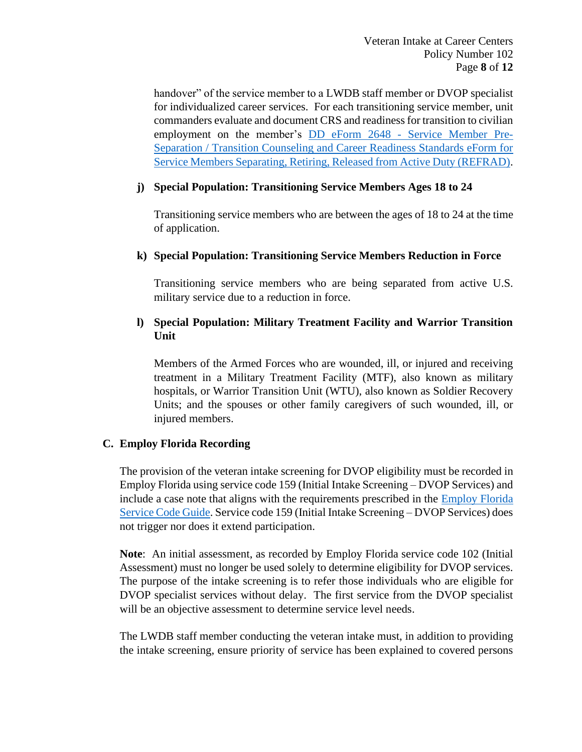handover" of the service member to a LWDB staff member or DVOP specialist for individualized career services. For each transitioning service member, unit commanders evaluate and document CRS and readiness for transition to civilian employment on the member's DD eForm 2648 - [Service Member Pre-](https://www.dodtap.mil/rest/docs?filename=Blank_eForm_PDF_Print_Out.pdf)[Separation / Transition Counseling and Career Readiness Standards eForm for](https://www.dodtap.mil/rest/docs?filename=Blank_eForm_PDF_Print_Out.pdf)  [Service Members Separating, Retiring, Released from Active Duty \(REFRAD\).](https://www.dodtap.mil/rest/docs?filename=Blank_eForm_PDF_Print_Out.pdf)

#### **j) Special Population: Transitioning Service Members Ages 18 to 24**

Transitioning service members who are between the ages of 18 to 24 at the time of application.

#### **k) Special Population: Transitioning Service Members Reduction in Force**

Transitioning service members who are being separated from active U.S. military service due to a reduction in force.

## **l) Special Population: Military Treatment Facility and Warrior Transition Unit**

Members of the Armed Forces who are wounded, ill, or injured and receiving treatment in a Military Treatment Facility (MTF), also known as military hospitals, or Warrior Transition Unit (WTU), also known as Soldier Recovery Units; and the spouses or other family caregivers of such wounded, ill, or injured members.

## **C. Employ Florida Recording**

The provision of the veteran intake screening for DVOP eligibility must be recorded in Employ Florida using service code 159 (Initial Intake Screening – DVOP Services) and include a case note that aligns with the requirements prescribed in the [Employ Florida](http://www.floridajobs.org/docs/default-source/lwdb-resources/programs-and-resources/wioa/2018-wioa/service-code-guide-072018.pdf?sfvrsn=2)  [Service Code Guide.](http://www.floridajobs.org/docs/default-source/lwdb-resources/programs-and-resources/wioa/2018-wioa/service-code-guide-072018.pdf?sfvrsn=2) Service code 159 (Initial Intake Screening – DVOP Services) does not trigger nor does it extend participation.

**Note**: An initial assessment, as recorded by Employ Florida service code 102 (Initial Assessment) must no longer be used solely to determine eligibility for DVOP services. The purpose of the intake screening is to refer those individuals who are eligible for DVOP specialist services without delay. The first service from the DVOP specialist will be an objective assessment to determine service level needs.

The LWDB staff member conducting the veteran intake must, in addition to providing the intake screening, ensure priority of service has been explained to covered persons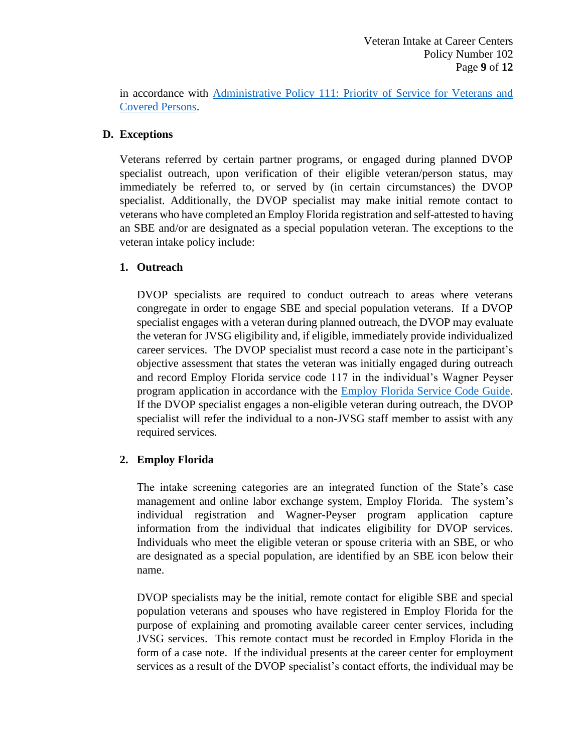in accordance with Administrative Policy [111: Priority of Service for Veterans and](http://floridajobs.org/local-workforce-development-board-resources/policy-and-guidance/guidance-papers)  [Covered Persons.](http://floridajobs.org/local-workforce-development-board-resources/policy-and-guidance/guidance-papers)

# **D. Exceptions**

Veterans referred by certain partner programs, or engaged during planned DVOP specialist outreach, upon verification of their eligible veteran/person status, may immediately be referred to, or served by (in certain circumstances) the DVOP specialist. Additionally, the DVOP specialist may make initial remote contact to veterans who have completed an Employ Florida registration and self-attested to having an SBE and/or are designated as a special population veteran. The exceptions to the veteran intake policy include:

# **1. Outreach**

DVOP specialists are required to conduct outreach to areas where veterans congregate in order to engage SBE and special population veterans. If a DVOP specialist engages with a veteran during planned outreach, the DVOP may evaluate the veteran for JVSG eligibility and, if eligible, immediately provide individualized career services. The DVOP specialist must record a case note in the participant's objective assessment that states the veteran was initially engaged during outreach and record Employ Florida service code 117 in the individual's Wagner Peyser program application in accordance with the [Employ Florida Service Code Guide.](http://floridajobs.org/docs/default-source/lwdb-resources/programs-and-resources/wioa/2021-wioa/service-code-guide-update-24may2021.pdf?sfvrsn=ad654fb0_2) If the DVOP specialist engages a non-eligible veteran during outreach, the DVOP specialist will refer the individual to a non-JVSG staff member to assist with any required services.

# **2. Employ Florida**

The intake screening categories are an integrated function of the State's case management and online labor exchange system, Employ Florida. The system's individual registration and Wagner-Peyser program application capture information from the individual that indicates eligibility for DVOP services. Individuals who meet the eligible veteran or spouse criteria with an SBE, or who are designated as a special population, are identified by an SBE icon below their name.

DVOP specialists may be the initial, remote contact for eligible SBE and special population veterans and spouses who have registered in Employ Florida for the purpose of explaining and promoting available career center services, including JVSG services. This remote contact must be recorded in Employ Florida in the form of a case note. If the individual presents at the career center for employment services as a result of the DVOP specialist's contact efforts, the individual may be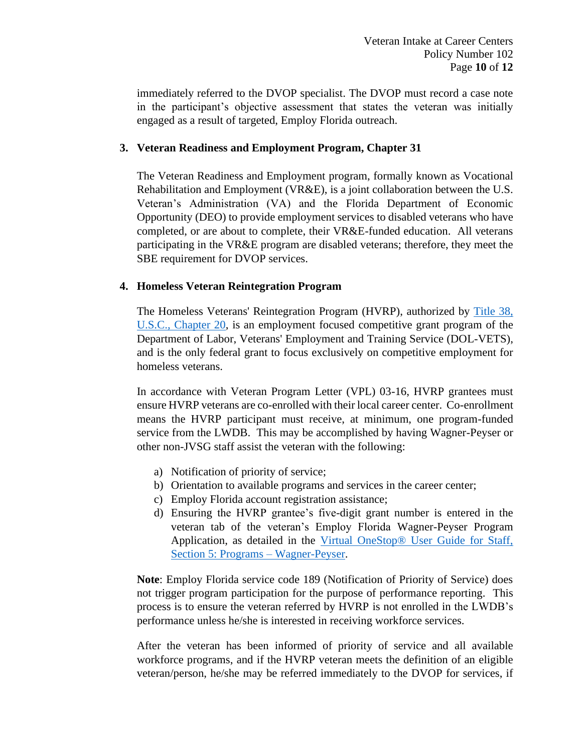immediately referred to the DVOP specialist. The DVOP must record a case note in the participant's objective assessment that states the veteran was initially engaged as a result of targeted, Employ Florida outreach.

#### **3. Veteran Readiness and Employment Program, Chapter 31**

The Veteran Readiness and Employment program, formally known as Vocational Rehabilitation and Employment (VR&E), is a joint collaboration between the U.S. Veteran's Administration (VA) and the Florida Department of Economic Opportunity (DEO) to provide employment services to disabled veterans who have completed, or are about to complete, their VR&E-funded education. All veterans participating in the VR&E program are disabled veterans; therefore, they meet the SBE requirement for DVOP services.

## **4. Homeless Veteran Reintegration Program**

The Homeless Veterans' Reintegration Program (HVRP), authorized by [Title 38,](https://uscode.house.gov/view.xhtml?path=/prelim@title38/part2/chapter20&edition=prelim)  [U.S.C., Chapter 20,](https://uscode.house.gov/view.xhtml?path=/prelim@title38/part2/chapter20&edition=prelim) is an employment focused competitive grant program of the Department of Labor, Veterans' Employment and Training Service (DOL-VETS), and is the only federal grant to focus exclusively on competitive employment for homeless veterans.

In accordance with Veteran Program Letter (VPL) 03-16, HVRP grantees must ensure HVRP veterans are co-enrolled with their local career center. Co-enrollment means the HVRP participant must receive, at minimum, one program-funded service from the LWDB. This may be accomplished by having Wagner-Peyser or other non-JVSG staff assist the veteran with the following:

- a) Notification of priority of service;
- b) Orientation to available programs and services in the career center;
- c) Employ Florida account registration assistance;
- d) Ensuring the HVRP grantee's five-digit grant number is entered in the veteran tab of the veteran's Employ Florida Wagner-Peyser Program Application, as detailed in the [Virtual OneStop® User Guide for Staff,](https://www.employflorida.com/admin/gsipub/htmlarea/uploads/Staff%20Guide_05_Programs_Wagner-Peyser.pdf)  [Section 5: Programs –](https://www.employflorida.com/admin/gsipub/htmlarea/uploads/Staff%20Guide_05_Programs_Wagner-Peyser.pdf) Wagner-Peyser.

**Note**: Employ Florida service code 189 (Notification of Priority of Service) does not trigger program participation for the purpose of performance reporting. This process is to ensure the veteran referred by HVRP is not enrolled in the LWDB's performance unless he/she is interested in receiving workforce services.

After the veteran has been informed of priority of service and all available workforce programs, and if the HVRP veteran meets the definition of an eligible veteran/person, he/she may be referred immediately to the DVOP for services, if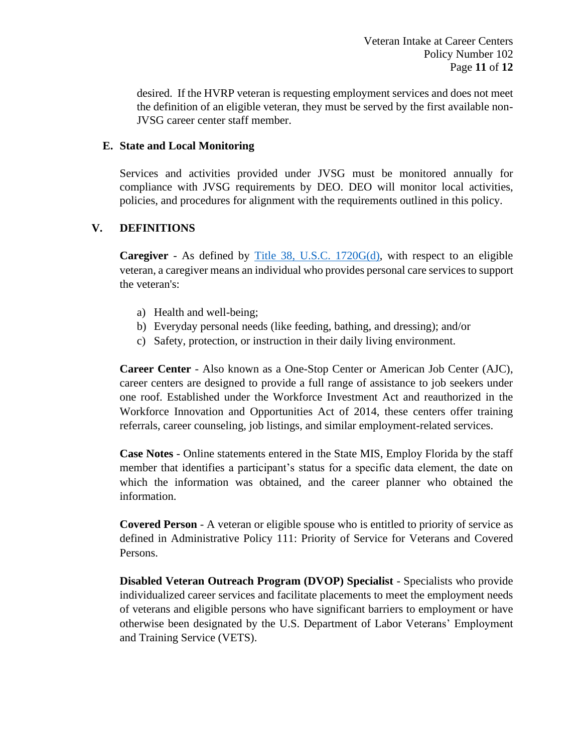desired. If the HVRP veteran is requesting employment services and does not meet the definition of an eligible veteran, they must be served by the first available non-JVSG career center staff member.

#### **E. State and Local Monitoring**

Services and activities provided under JVSG must be monitored annually for compliance with JVSG requirements by DEO. DEO will monitor local activities, policies, and procedures for alignment with the requirements outlined in this policy.

## **V. DEFINITIONS**

**Caregiver** - As defined by [Title 38, U.S.C. 1720G\(d\),](https://www.govinfo.gov/content/pkg/USCODE-2011-title38/pdf/USCODE-2011-title38-partII-chap17-subchapII-sec1720G.pdf) with respect to an eligible veteran, a caregiver means an individual who provides personal care services to support the veteran's:

- a) Health and well-being;
- b) Everyday personal needs (like feeding, bathing, and dressing); and/or
- c) Safety, protection, or instruction in their daily living environment.

**Career Center** - Also known as a One-Stop Center or American Job Center (AJC), career centers are designed to provide a full range of assistance to job seekers under one roof. Established under the Workforce Investment Act and reauthorized in the Workforce Innovation and Opportunities Act of 2014, these centers offer training referrals, career counseling, job listings, and similar employment-related services.

**Case Notes** - Online statements entered in the State MIS, Employ Florida by the staff member that identifies a participant's status for a specific data element, the date on which the information was obtained, and the career planner who obtained the information.

**Covered Person** - A veteran or eligible spouse who is entitled to priority of service as defined in Administrative Policy 111: Priority of Service for Veterans and Covered Persons.

**Disabled Veteran Outreach Program (DVOP) Specialist** - Specialists who provide individualized career services and facilitate placements to meet the employment needs of veterans and eligible persons who have significant barriers to employment or have otherwise been designated by the U.S. Department of Labor Veterans' Employment and Training Service (VETS).